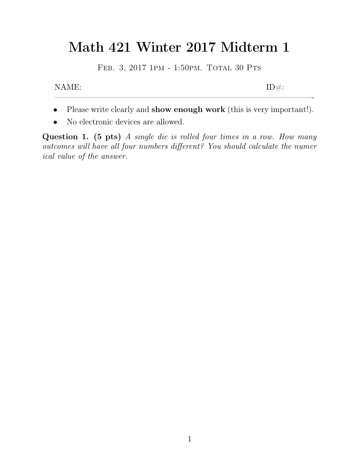## Math 421 Winter 2017 Midterm 1<br>FEB. 3, 2017 1PM - 1:50PM. TOTAL 30 PTS 1 421 Winter 2017 Midterm<br>FEB. 3, 2017 1PM - 1:50PM. TOTAL 30 PTS Math 421 Winter 2017 Midterm 1<br>FEB. 3, 2017 1PM - 1:50PM. TOTAL 30 PTS<br>NAME: ID#:

- FEB. 3, 2017 1PM 1:50PM. TOTAL 30 PTS<br>
NAME:<br>
Please write clearly and **show enough work** (this is very important!).<br>
No electronic devices are allowed. NAME:<br>
• Please write clearly and show enough<br>
• No electronic devices are allowed.<br>
estion 1. (5 pts) A sinale die is rolled
- 

**COVERT:**<br> **11. (15) (16) (16) (16) (16) (16) (16) (16) (16) (16) (16) (16) (16) (16) (16) (16) (16) (16) (16) (16) (16) (16) (16) (16) (16) (16) (16) (16) (16) (** • Please write clearly and **show enough work** (this is very important!).<br>
• No electronic devices are allowed.<br> **Question 1.** (5 pts) *A single die is rolled four times in a row. How many outcomes will have all four numbe* • Please write clearly an<br>• No electronic devices a<br>**Question 1.** (5 pts) *A sin*<br>*outcomes will have all four ni*<br>*ical value of the answer.*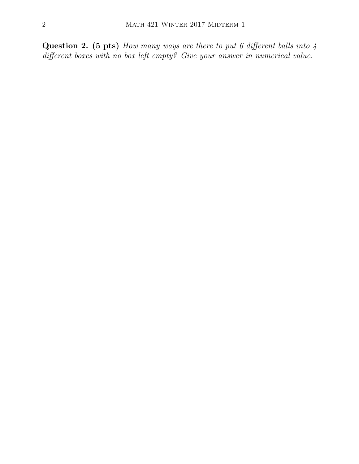**Question 2. (5 pts)** *How many ways are there to put 6 different balls into 4 different boxes with no box left empty? Give your answer in numerical value. different boxes with no box left empty? Give your answer in numerical value.*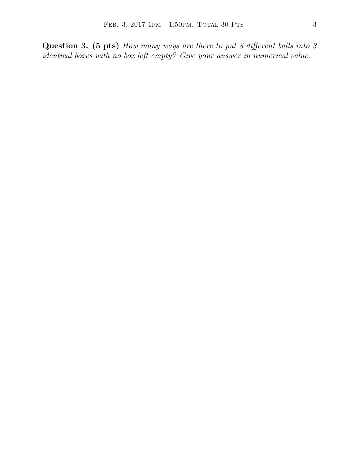**Question 3. (5 pts)** *How many ways are there to put 8 different balls into 3 identical boxes with no box left empty? Give your answer in numerical value.* FEB. 3, 2017 1PM - 1:50PM. TOTAL 30 PTS 33<br> **Question 3. (5 pts)** How many ways are there to put 8 different balls into 3 identical boxes with no box left empty? Give your answer in numerical value.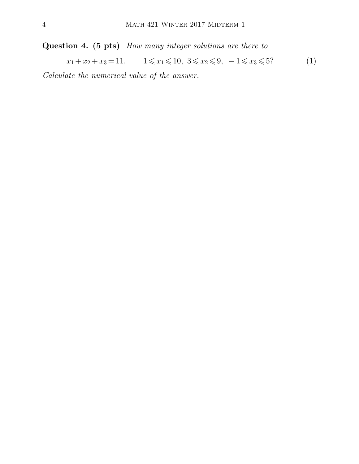**Question 4.** (5 pts) *How many integer solutions are there to*<br>  $x_1 + x_2 + x_3 = 11$ ,  $1 \le x_1 \le 10$ ,  $3 \le x_2 \le 9$ ,  $-1 \le x_3 \le 5$ ? (1) **Question 4.** (5 pts) *How many integer solutio*<br> $x_1 + x_2 + x_3 = 11$ ,  $1 \le x_1 \le 10$ ,  $3 \le x_2 \le$ <br>*Calculate the numerical value of the answer.*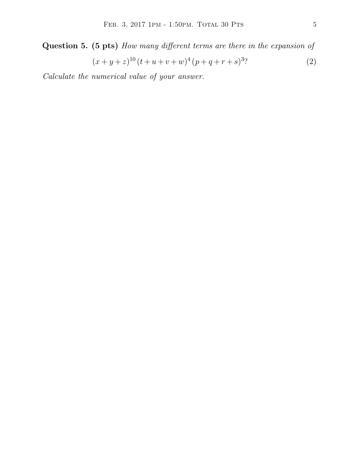FEB. 3, 2017 1PM - 1:50PM. TOTAL 30 PTS 5<br> **Question 5. (5 pts)** *How many different terms are there in the expansion of*  $(x+y+z)^{10} (t+u+v+w)^4 (p+q+r+s)^3$ ?  $(2)$ 

*Calculate the numerical value of your answer.*